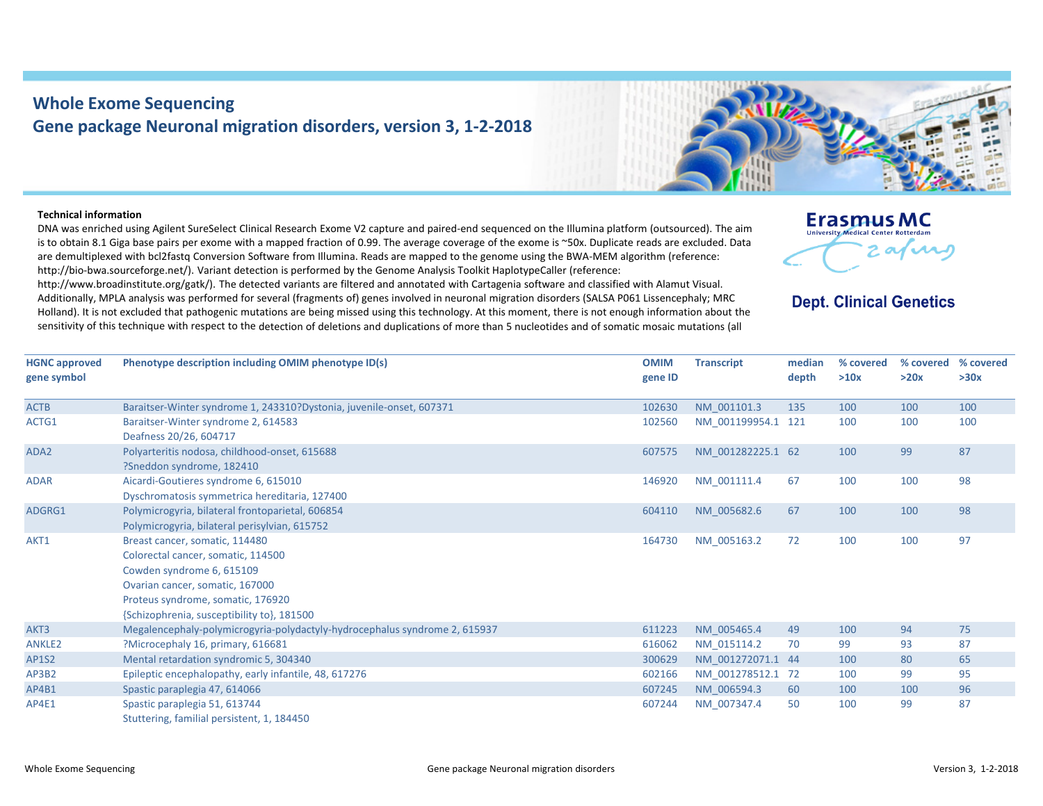## **Whole Exome Sequencing Gene package Neuronal migration disorders, version 3, 1‐2‐2018**

## **Technical information**

DNA was enriched using Agilent SureSelect Clinical Research Exome V2 capture and paired‐end sequenced on the Illumina platform (outsourced). The aim is to obtain 8.1 Giga base pairs per exome with <sup>a</sup> mapped fraction of 0.99. The average coverage of the exome is ~50x. Duplicate reads are excluded. Data are demultiplexed with bcl2fastq Conversion Software from Illumina. Reads are mapped to the genome using the BWA‐MEM algorithm (reference: http://bio-bwa.sourceforge.net/). Variant detection is performed by the Genome Analysis Toolkit HaplotypeCaller (reference:

http://www.broadinstitute.org/gatk/). The detected variants are filtered and annotated with Cartagenia software and classified with Alamut Visual. Additionally, MPLA analysis was performed for several (fragments of) genes involved in neuronal migration disorders (SALSA P061 Lissencephaly; MRC Holland). It is not excluded that pathogenic mutations are being missed using this technology. At this moment, there is not enough information about the sensitivity of this technique with respect to the detection of deletions and duplications of more than 5 nucleotides and of somatic mosaic mutations (all



## **Dept. Clinical Genetics**

| <b>HGNC approved</b><br>gene symbol | Phenotype description including OMIM phenotype ID(s)                                                                                                                                                                    | <b>OMIM</b><br>gene ID | <b>Transcript</b>  | median<br>depth | % covered<br>>10x | % covered<br>>20x | % covered<br>>30x |
|-------------------------------------|-------------------------------------------------------------------------------------------------------------------------------------------------------------------------------------------------------------------------|------------------------|--------------------|-----------------|-------------------|-------------------|-------------------|
| <b>ACTB</b>                         | Baraitser-Winter syndrome 1, 243310?Dystonia, juvenile-onset, 607371                                                                                                                                                    | 102630                 | NM 001101.3        | 135             | 100               | 100               | 100               |
| ACTG1                               | Baraitser-Winter syndrome 2, 614583<br>Deafness 20/26, 604717                                                                                                                                                           | 102560                 | NM 001199954.1 121 |                 | 100               | 100               | 100               |
| ADA2                                | Polyarteritis nodosa, childhood-onset, 615688<br>?Sneddon syndrome, 182410                                                                                                                                              | 607575                 | NM 001282225.1 62  |                 | 100               | 99                | 87                |
| <b>ADAR</b>                         | Aicardi-Goutieres syndrome 6, 615010<br>Dyschromatosis symmetrica hereditaria, 127400                                                                                                                                   | 146920                 | NM 001111.4        | 67              | 100               | 100               | 98                |
| ADGRG1                              | Polymicrogyria, bilateral frontoparietal, 606854<br>Polymicrogyria, bilateral perisylvian, 615752                                                                                                                       | 604110                 | NM 005682.6        | 67              | 100               | 100               | 98                |
| AKT1                                | Breast cancer, somatic, 114480<br>Colorectal cancer, somatic, 114500<br>Cowden syndrome 6, 615109<br>Ovarian cancer, somatic, 167000<br>Proteus syndrome, somatic, 176920<br>{Schizophrenia, susceptibility to}, 181500 | 164730                 | NM 005163.2        | 72              | 100               | 100               | 97                |
| AKT3                                | Megalencephaly-polymicrogyria-polydactyly-hydrocephalus syndrome 2, 615937                                                                                                                                              | 611223                 | NM 005465.4        | 49              | 100               | 94                | 75                |
| ANKLE2                              | ?Microcephaly 16, primary, 616681                                                                                                                                                                                       | 616062                 | NM 015114.2        | 70              | 99                | 93                | 87                |
| <b>AP1S2</b>                        | Mental retardation syndromic 5, 304340                                                                                                                                                                                  | 300629                 | NM 001272071.1 44  |                 | 100               | 80                | 65                |
| AP3B2                               | Epileptic encephalopathy, early infantile, 48, 617276                                                                                                                                                                   | 602166                 | NM 001278512.1 72  |                 | 100               | 99                | 95                |
| AP4B1                               | Spastic paraplegia 47, 614066                                                                                                                                                                                           | 607245                 | NM 006594.3        | 60              | 100               | 100               | 96                |
| AP4E1                               | Spastic paraplegia 51, 613744<br>Stuttering, familial persistent, 1, 184450                                                                                                                                             | 607244                 | NM 007347.4        | 50              | 100               | 99                | 87                |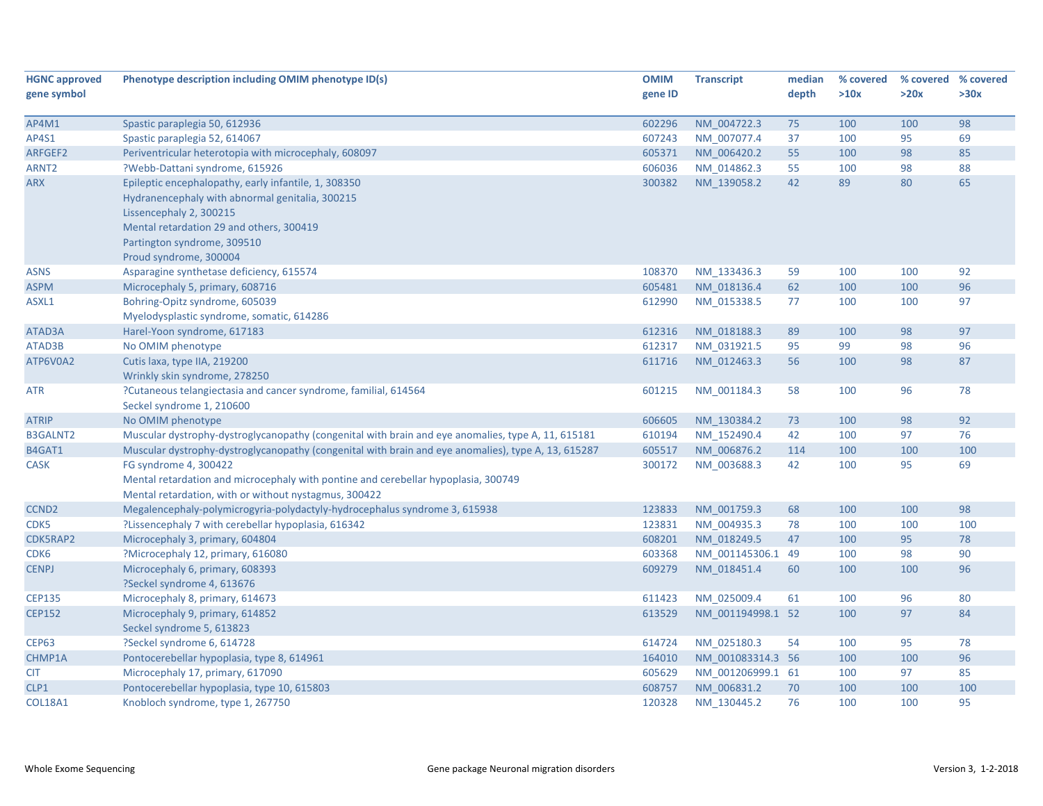| <b>HGNC approved</b> | Phenotype description including OMIM phenotype ID(s)                                                                                                                                                          | <b>OMIM</b> | <b>Transcript</b> | median | % covered | % covered % covered |      |
|----------------------|---------------------------------------------------------------------------------------------------------------------------------------------------------------------------------------------------------------|-------------|-------------------|--------|-----------|---------------------|------|
| gene symbol          |                                                                                                                                                                                                               | gene ID     |                   | depth  | >10x      | >20x                | >30x |
|                      |                                                                                                                                                                                                               |             |                   |        |           |                     |      |
| AP4M1                | Spastic paraplegia 50, 612936                                                                                                                                                                                 | 602296      | NM_004722.3       | 75     | 100       | 100                 | 98   |
| AP4S1                | Spastic paraplegia 52, 614067                                                                                                                                                                                 | 607243      | NM_007077.4       | 37     | 100       | 95                  | 69   |
| ARFGEF2              | Periventricular heterotopia with microcephaly, 608097                                                                                                                                                         | 605371      | NM 006420.2       | 55     | 100       | 98                  | 85   |
| ARNT <sub>2</sub>    | ?Webb-Dattani syndrome, 615926                                                                                                                                                                                | 606036      | NM 014862.3       | 55     | 100       | 98                  | 88   |
| <b>ARX</b>           | Epileptic encephalopathy, early infantile, 1, 308350<br>Hydranencephaly with abnormal genitalia, 300215<br>Lissencephaly 2, 300215<br>Mental retardation 29 and others, 300419<br>Partington syndrome, 309510 | 300382      | NM_139058.2       | 42     | 89        | 80                  | 65   |
|                      | Proud syndrome, 300004                                                                                                                                                                                        |             |                   |        |           |                     |      |
| <b>ASNS</b>          | Asparagine synthetase deficiency, 615574                                                                                                                                                                      | 108370      | NM_133436.3       | 59     | 100       | 100                 | 92   |
| <b>ASPM</b>          | Microcephaly 5, primary, 608716                                                                                                                                                                               | 605481      | NM 018136.4       | 62     | 100       | 100                 | 96   |
| ASXL1                | Bohring-Opitz syndrome, 605039<br>Myelodysplastic syndrome, somatic, 614286                                                                                                                                   | 612990      | NM_015338.5       | 77     | 100       | 100                 | 97   |
| ATAD3A               | Harel-Yoon syndrome, 617183                                                                                                                                                                                   | 612316      | NM_018188.3       | 89     | 100       | 98                  | 97   |
| ATAD3B               | No OMIM phenotype                                                                                                                                                                                             | 612317      | NM 031921.5       | 95     | 99        | 98                  | 96   |
| ATP6V0A2             | Cutis laxa, type IIA, 219200<br>Wrinkly skin syndrome, 278250                                                                                                                                                 | 611716      | NM 012463.3       | 56     | 100       | 98                  | 87   |
| <b>ATR</b>           | ?Cutaneous telangiectasia and cancer syndrome, familial, 614564<br>Seckel syndrome 1, 210600                                                                                                                  | 601215      | NM_001184.3       | 58     | 100       | 96                  | 78   |
| <b>ATRIP</b>         | No OMIM phenotype                                                                                                                                                                                             | 606605      | NM 130384.2       | 73     | 100       | 98                  | 92   |
| <b>B3GALNT2</b>      | Muscular dystrophy-dystroglycanopathy (congenital with brain and eye anomalies, type A, 11, 615181                                                                                                            | 610194      | NM 152490.4       | 42     | 100       | 97                  | 76   |
| B4GAT1               | Muscular dystrophy-dystroglycanopathy (congenital with brain and eye anomalies), type A, 13, 615287                                                                                                           | 605517      | NM 006876.2       | 114    | 100       | 100                 | 100  |
| <b>CASK</b>          | FG syndrome 4, 300422<br>Mental retardation and microcephaly with pontine and cerebellar hypoplasia, 300749<br>Mental retardation, with or without nystagmus, 300422                                          | 300172      | NM 003688.3       | 42     | 100       | 95                  | 69   |
| CCND <sub>2</sub>    | Megalencephaly-polymicrogyria-polydactyly-hydrocephalus syndrome 3, 615938                                                                                                                                    | 123833      | NM 001759.3       | 68     | 100       | 100                 | 98   |
| CDK5                 | ?Lissencephaly 7 with cerebellar hypoplasia, 616342                                                                                                                                                           | 123831      | NM 004935.3       | 78     | 100       | 100                 | 100  |
| CDK5RAP2             | Microcephaly 3, primary, 604804                                                                                                                                                                               | 608201      | NM 018249.5       | 47     | 100       | 95                  | 78   |
| CDK <sub>6</sub>     | ?Microcephaly 12, primary, 616080                                                                                                                                                                             | 603368      | NM_001145306.1 49 |        | 100       | 98                  | 90   |
| <b>CENPJ</b>         | Microcephaly 6, primary, 608393<br>?Seckel syndrome 4, 613676                                                                                                                                                 | 609279      | NM 018451.4       | 60     | 100       | 100                 | 96   |
| <b>CEP135</b>        | Microcephaly 8, primary, 614673                                                                                                                                                                               | 611423      | NM_025009.4       | 61     | 100       | 96                  | 80   |
| <b>CEP152</b>        | Microcephaly 9, primary, 614852<br>Seckel syndrome 5, 613823                                                                                                                                                  | 613529      | NM 001194998.1 52 |        | 100       | 97                  | 84   |
| <b>CEP63</b>         | ?Seckel syndrome 6, 614728                                                                                                                                                                                    | 614724      | NM 025180.3       | 54     | 100       | 95                  | 78   |
| CHMP1A               | Pontocerebellar hypoplasia, type 8, 614961                                                                                                                                                                    | 164010      | NM 001083314.3 56 |        | 100       | 100                 | 96   |
| <b>CIT</b>           | Microcephaly 17, primary, 617090                                                                                                                                                                              | 605629      | NM 001206999.1 61 |        | 100       | 97                  | 85   |
| CLP1                 | Pontocerebellar hypoplasia, type 10, 615803                                                                                                                                                                   | 608757      | NM_006831.2       | 70     | 100       | 100                 | 100  |
| <b>COL18A1</b>       | Knobloch syndrome, type 1, 267750                                                                                                                                                                             | 120328      | NM 130445.2       | 76     | 100       | 100                 | 95   |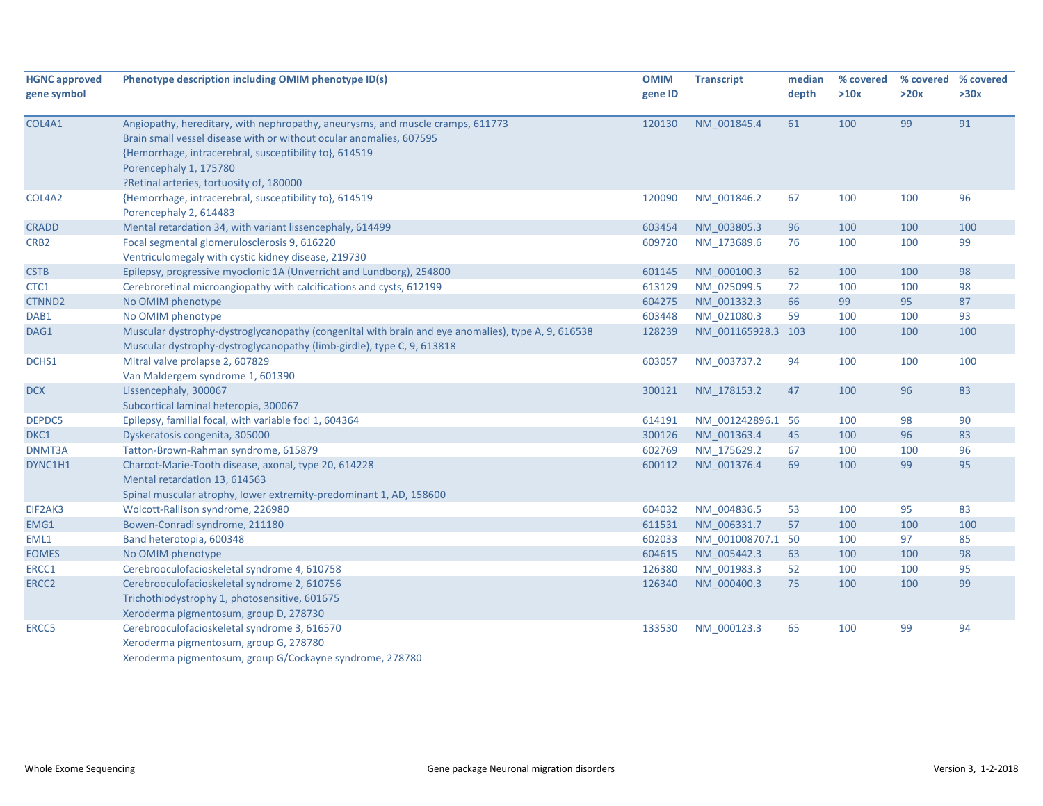| <b>HGNC approved</b> | Phenotype description including OMIM phenotype ID(s)                                                                                                                                                                                                                                  | <b>OMIM</b> | <b>Transcript</b>  | median | % covered | % covered % covered |      |
|----------------------|---------------------------------------------------------------------------------------------------------------------------------------------------------------------------------------------------------------------------------------------------------------------------------------|-------------|--------------------|--------|-----------|---------------------|------|
| gene symbol          |                                                                                                                                                                                                                                                                                       | gene ID     |                    | depth  | >10x      | >20x                | >30x |
| COL4A1               | Angiopathy, hereditary, with nephropathy, aneurysms, and muscle cramps, 611773<br>Brain small vessel disease with or without ocular anomalies, 607595<br>{Hemorrhage, intracerebral, susceptibility to}, 614519<br>Porencephaly 1, 175780<br>?Retinal arteries, tortuosity of, 180000 | 120130      | NM_001845.4        | 61     | 100       | 99                  | 91   |
| COL4A2               | {Hemorrhage, intracerebral, susceptibility to}, 614519<br>Porencephaly 2, 614483                                                                                                                                                                                                      | 120090      | NM 001846.2        | 67     | 100       | 100                 | 96   |
| <b>CRADD</b>         | Mental retardation 34, with variant lissencephaly, 614499                                                                                                                                                                                                                             | 603454      | NM_003805.3        | 96     | 100       | 100                 | 100  |
| CRB <sub>2</sub>     | Focal segmental glomerulosclerosis 9, 616220<br>Ventriculomegaly with cystic kidney disease, 219730                                                                                                                                                                                   | 609720      | NM 173689.6        | 76     | 100       | 100                 | 99   |
| <b>CSTB</b>          | Epilepsy, progressive myoclonic 1A (Unverricht and Lundborg), 254800                                                                                                                                                                                                                  | 601145      | NM 000100.3        | 62     | 100       | 100                 | 98   |
| CTC1                 | Cerebroretinal microangiopathy with calcifications and cysts, 612199                                                                                                                                                                                                                  | 613129      | NM_025099.5        | 72     | 100       | 100                 | 98   |
| CTNND <sub>2</sub>   | No OMIM phenotype                                                                                                                                                                                                                                                                     | 604275      | NM 001332.3        | 66     | 99        | 95                  | 87   |
| DAB1                 | No OMIM phenotype                                                                                                                                                                                                                                                                     | 603448      | NM 021080.3        | 59     | 100       | 100                 | 93   |
| DAG1                 | Muscular dystrophy-dystroglycanopathy (congenital with brain and eye anomalies), type A, 9, 616538<br>Muscular dystrophy-dystroglycanopathy (limb-girdle), type C, 9, 613818                                                                                                          | 128239      | NM 001165928.3 103 |        | 100       | 100                 | 100  |
| DCHS1                | Mitral valve prolapse 2, 607829<br>Van Maldergem syndrome 1, 601390                                                                                                                                                                                                                   | 603057      | NM 003737.2        | 94     | 100       | 100                 | 100  |
| <b>DCX</b>           | Lissencephaly, 300067<br>Subcortical laminal heteropia, 300067                                                                                                                                                                                                                        | 300121      | NM 178153.2        | 47     | 100       | 96                  | 83   |
| DEPDC5               | Epilepsy, familial focal, with variable foci 1, 604364                                                                                                                                                                                                                                | 614191      | NM 001242896.1 56  |        | 100       | 98                  | 90   |
| DKC1                 | Dyskeratosis congenita, 305000                                                                                                                                                                                                                                                        | 300126      | NM 001363.4        | 45     | 100       | 96                  | 83   |
| DNMT3A               | Tatton-Brown-Rahman syndrome, 615879                                                                                                                                                                                                                                                  | 602769      | NM 175629.2        | 67     | 100       | 100                 | 96   |
| DYNC1H1              | Charcot-Marie-Tooth disease, axonal, type 20, 614228<br>Mental retardation 13, 614563<br>Spinal muscular atrophy, lower extremity-predominant 1, AD, 158600                                                                                                                           | 600112      | NM 001376.4        | 69     | 100       | 99                  | 95   |
| EIF2AK3              | Wolcott-Rallison syndrome, 226980                                                                                                                                                                                                                                                     | 604032      | NM_004836.5        | 53     | 100       | 95                  | 83   |
| EMG1                 | Bowen-Conradi syndrome, 211180                                                                                                                                                                                                                                                        | 611531      | NM_006331.7        | 57     | 100       | 100                 | 100  |
| EML1                 | Band heterotopia, 600348                                                                                                                                                                                                                                                              | 602033      | NM_001008707.1 50  |        | 100       | 97                  | 85   |
| <b>EOMES</b>         | No OMIM phenotype                                                                                                                                                                                                                                                                     | 604615      | NM 005442.3        | 63     | 100       | 100                 | 98   |
| ERCC1                | Cerebrooculofacioskeletal syndrome 4, 610758                                                                                                                                                                                                                                          | 126380      | NM_001983.3        | 52     | 100       | 100                 | 95   |
| ERCC <sub>2</sub>    | Cerebrooculofacioskeletal syndrome 2, 610756<br>Trichothiodystrophy 1, photosensitive, 601675<br>Xeroderma pigmentosum, group D, 278730                                                                                                                                               | 126340      | NM_000400.3        | 75     | 100       | 100                 | 99   |
| ERCC5                | Cerebrooculofacioskeletal syndrome 3, 616570<br>Xeroderma pigmentosum, group G, 278780<br>Xeroderma pigmentosum, group G/Cockayne syndrome, 278780                                                                                                                                    | 133530      | NM_000123.3        | 65     | 100       | 99                  | 94   |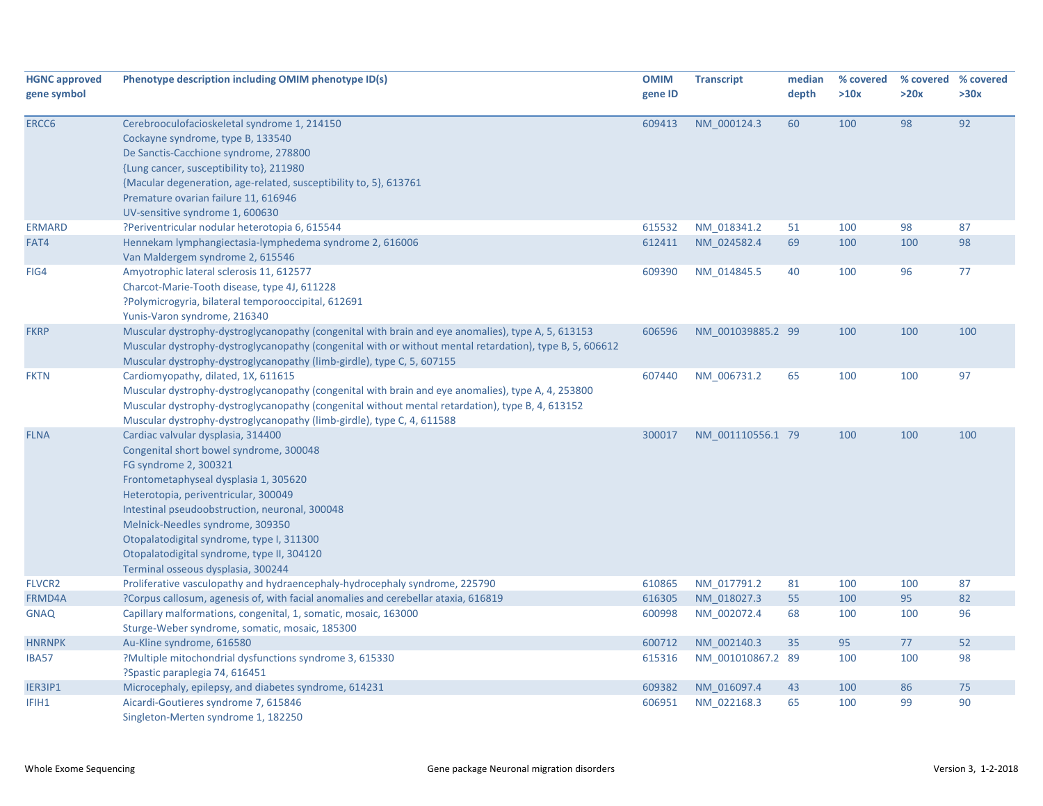| <b>HGNC approved</b><br>gene symbol | Phenotype description including OMIM phenotype ID(s)                                                                                                                                                                                                                                                                                                                                                           | <b>OMIM</b><br>gene ID | <b>Transcript</b> | median<br>depth | % covered<br>>10x | >20x | % covered % covered<br>>30x |
|-------------------------------------|----------------------------------------------------------------------------------------------------------------------------------------------------------------------------------------------------------------------------------------------------------------------------------------------------------------------------------------------------------------------------------------------------------------|------------------------|-------------------|-----------------|-------------------|------|-----------------------------|
| ERCC6                               | Cerebrooculofacioskeletal syndrome 1, 214150<br>Cockayne syndrome, type B, 133540<br>De Sanctis-Cacchione syndrome, 278800                                                                                                                                                                                                                                                                                     | 609413                 | NM 000124.3       | 60              | 100               | 98   | 92                          |
|                                     | {Lung cancer, susceptibility to}, 211980<br>{Macular degeneration, age-related, susceptibility to, 5}, 613761<br>Premature ovarian failure 11, 616946<br>UV-sensitive syndrome 1, 600630                                                                                                                                                                                                                       |                        |                   |                 |                   |      |                             |
| <b>ERMARD</b>                       | ?Periventricular nodular heterotopia 6, 615544                                                                                                                                                                                                                                                                                                                                                                 | 615532                 | NM 018341.2       | 51              | 100               | 98   | 87                          |
| FAT4                                | Hennekam lymphangiectasia-lymphedema syndrome 2, 616006<br>Van Maldergem syndrome 2, 615546                                                                                                                                                                                                                                                                                                                    | 612411                 | NM 024582.4       | 69              | 100               | 100  | 98                          |
| FIG4                                | Amyotrophic lateral sclerosis 11, 612577<br>Charcot-Marie-Tooth disease, type 4J, 611228<br>?Polymicrogyria, bilateral temporooccipital, 612691<br>Yunis-Varon syndrome, 216340                                                                                                                                                                                                                                | 609390                 | NM 014845.5       | 40              | 100               | 96   | 77                          |
| <b>FKRP</b>                         | Muscular dystrophy-dystroglycanopathy (congenital with brain and eye anomalies), type A, 5, 613153<br>Muscular dystrophy-dystroglycanopathy (congenital with or without mental retardation), type B, 5, 606612<br>Muscular dystrophy-dystroglycanopathy (limb-girdle), type C, 5, 607155                                                                                                                       | 606596                 | NM 001039885.2 99 |                 | 100               | 100  | 100                         |
| <b>FKTN</b>                         | Cardiomyopathy, dilated, 1X, 611615<br>Muscular dystrophy-dystroglycanopathy (congenital with brain and eye anomalies), type A, 4, 253800<br>Muscular dystrophy-dystroglycanopathy (congenital without mental retardation), type B, 4, 613152<br>Muscular dystrophy-dystroglycanopathy (limb-girdle), type C, 4, 611588                                                                                        | 607440                 | NM 006731.2       | 65              | 100               | 100  | 97                          |
| <b>FLNA</b>                         | Cardiac valvular dysplasia, 314400<br>Congenital short bowel syndrome, 300048<br>FG syndrome 2, 300321<br>Frontometaphyseal dysplasia 1, 305620<br>Heterotopia, periventricular, 300049<br>Intestinal pseudoobstruction, neuronal, 300048<br>Melnick-Needles syndrome, 309350<br>Otopalatodigital syndrome, type I, 311300<br>Otopalatodigital syndrome, type II, 304120<br>Terminal osseous dysplasia, 300244 | 300017                 | NM 001110556.1 79 |                 | 100               | 100  | 100                         |
| <b>FLVCR2</b>                       | Proliferative vasculopathy and hydraencephaly-hydrocephaly syndrome, 225790                                                                                                                                                                                                                                                                                                                                    | 610865                 | NM 017791.2       | 81              | 100               | 100  | 87                          |
| FRMD4A                              | ?Corpus callosum, agenesis of, with facial anomalies and cerebellar ataxia, 616819                                                                                                                                                                                                                                                                                                                             | 616305                 | NM_018027.3       | 55              | 100               | 95   | 82                          |
| <b>GNAQ</b>                         | Capillary malformations, congenital, 1, somatic, mosaic, 163000<br>Sturge-Weber syndrome, somatic, mosaic, 185300                                                                                                                                                                                                                                                                                              | 600998                 | NM 002072.4       | 68              | 100               | 100  | 96                          |
| <b>HNRNPK</b>                       | Au-Kline syndrome, 616580                                                                                                                                                                                                                                                                                                                                                                                      | 600712                 | NM 002140.3       | 35              | 95                | 77   | 52                          |
| <b>IBA57</b>                        | ?Multiple mitochondrial dysfunctions syndrome 3, 615330<br>?Spastic paraplegia 74, 616451                                                                                                                                                                                                                                                                                                                      | 615316                 | NM 001010867.2 89 |                 | 100               | 100  | 98                          |
| IER3IP1                             | Microcephaly, epilepsy, and diabetes syndrome, 614231                                                                                                                                                                                                                                                                                                                                                          | 609382                 | NM 016097.4       | 43              | 100               | 86   | 75                          |
| IFIH1                               | Aicardi-Goutieres syndrome 7, 615846<br>Singleton-Merten syndrome 1, 182250                                                                                                                                                                                                                                                                                                                                    | 606951                 | NM 022168.3       | 65              | 100               | 99   | 90                          |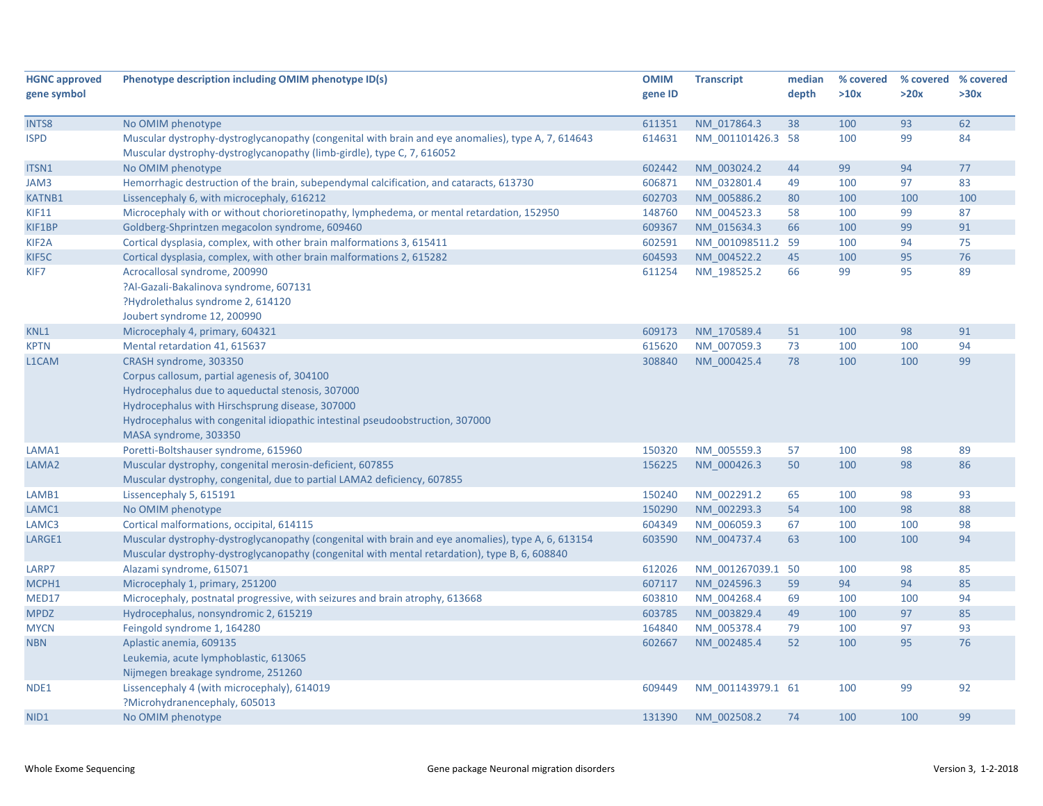| <b>HGNC approved</b> | Phenotype description including OMIM phenotype ID(s)                                               | <b>OMIM</b> | <b>Transcript</b> | median | % covered | % covered % covered |      |
|----------------------|----------------------------------------------------------------------------------------------------|-------------|-------------------|--------|-----------|---------------------|------|
| gene symbol          |                                                                                                    | gene ID     |                   | depth  | >10x      | >20x                | >30x |
|                      |                                                                                                    |             |                   |        |           |                     |      |
| <b>INTS8</b>         | No OMIM phenotype                                                                                  | 611351      | NM 017864.3       | 38     | 100       | 93                  | 62   |
| <b>ISPD</b>          | Muscular dystrophy-dystroglycanopathy (congenital with brain and eye anomalies), type A, 7, 614643 | 614631      | NM 001101426.3 58 |        | 100       | 99                  | 84   |
|                      | Muscular dystrophy-dystroglycanopathy (limb-girdle), type C, 7, 616052                             |             |                   |        |           |                     |      |
| ITSN1                | No OMIM phenotype                                                                                  | 602442      | NM 003024.2       | 44     | 99        | 94                  | 77   |
| JAM3                 | Hemorrhagic destruction of the brain, subependymal calcification, and cataracts, 613730            | 606871      | NM 032801.4       | 49     | 100       | 97                  | 83   |
| <b>KATNB1</b>        | Lissencephaly 6, with microcephaly, 616212                                                         | 602703      | NM_005886.2       | 80     | 100       | 100                 | 100  |
| <b>KIF11</b>         | Microcephaly with or without chorioretinopathy, lymphedema, or mental retardation, 152950          | 148760      | NM_004523.3       | 58     | 100       | 99                  | 87   |
| KIF1BP               | Goldberg-Shprintzen megacolon syndrome, 609460                                                     | 609367      | NM 015634.3       | 66     | 100       | 99                  | 91   |
| KIF <sub>2</sub> A   | Cortical dysplasia, complex, with other brain malformations 3, 615411                              | 602591      | NM 001098511.2 59 |        | 100       | 94                  | 75   |
| KIF5C                | Cortical dysplasia, complex, with other brain malformations 2, 615282                              | 604593      | NM 004522.2       | 45     | 100       | 95                  | 76   |
| KIF7                 | Acrocallosal syndrome, 200990                                                                      | 611254      | NM 198525.2       | 66     | 99        | 95                  | 89   |
|                      | ?Al-Gazali-Bakalinova syndrome, 607131                                                             |             |                   |        |           |                     |      |
|                      | ?Hydrolethalus syndrome 2, 614120                                                                  |             |                   |        |           |                     |      |
|                      | Joubert syndrome 12, 200990                                                                        |             |                   |        |           |                     |      |
| KNL1                 | Microcephaly 4, primary, 604321                                                                    | 609173      | NM 170589.4       | 51     | 100       | 98                  | 91   |
| <b>KPTN</b>          | Mental retardation 41, 615637                                                                      | 615620      | NM_007059.3       | 73     | 100       | 100                 | 94   |
| L1CAM                | CRASH syndrome, 303350                                                                             | 308840      | NM 000425.4       | 78     | 100       | 100                 | 99   |
|                      | Corpus callosum, partial agenesis of, 304100                                                       |             |                   |        |           |                     |      |
|                      | Hydrocephalus due to aqueductal stenosis, 307000                                                   |             |                   |        |           |                     |      |
|                      | Hydrocephalus with Hirschsprung disease, 307000                                                    |             |                   |        |           |                     |      |
|                      | Hydrocephalus with congenital idiopathic intestinal pseudoobstruction, 307000                      |             |                   |        |           |                     |      |
|                      | MASA syndrome, 303350                                                                              |             |                   |        |           |                     |      |
| LAMA1                | Poretti-Boltshauser syndrome, 615960                                                               | 150320      | NM_005559.3       | 57     | 100       | 98                  | 89   |
| LAMA2                | Muscular dystrophy, congenital merosin-deficient, 607855                                           | 156225      | NM 000426.3       | 50     | 100       | 98                  | 86   |
|                      | Muscular dystrophy, congenital, due to partial LAMA2 deficiency, 607855                            |             |                   |        |           |                     |      |
| LAMB1                | Lissencephaly 5, 615191                                                                            | 150240      | NM 002291.2       | 65     | 100       | 98                  | 93   |
| LAMC1                | No OMIM phenotype                                                                                  | 150290      | NM 002293.3       | 54     | 100       | 98                  | 88   |
| LAMC3                | Cortical malformations, occipital, 614115                                                          | 604349      | NM 006059.3       | 67     | 100       | 100                 | 98   |
| LARGE1               | Muscular dystrophy-dystroglycanopathy (congenital with brain and eye anomalies), type A, 6, 613154 | 603590      | NM_004737.4       | 63     | 100       | 100                 | 94   |
|                      | Muscular dystrophy-dystroglycanopathy (congenital with mental retardation), type B, 6, 608840      |             |                   |        |           |                     |      |
| LARP7                | Alazami syndrome, 615071                                                                           | 612026      | NM 001267039.1 50 |        | 100       | 98                  | 85   |
| MCPH1                | Microcephaly 1, primary, 251200                                                                    | 607117      | NM 024596.3       | 59     | 94        | 94                  | 85   |
| MED17                | Microcephaly, postnatal progressive, with seizures and brain atrophy, 613668                       | 603810      | NM 004268.4       | 69     | 100       | 100                 | 94   |
| <b>MPDZ</b>          | Hydrocephalus, nonsyndromic 2, 615219                                                              | 603785      | NM 003829.4       | 49     | 100       | 97                  | 85   |
| <b>MYCN</b>          | Feingold syndrome 1, 164280                                                                        | 164840      | NM_005378.4       | 79     | 100       | 97                  | 93   |
| <b>NBN</b>           | Aplastic anemia, 609135                                                                            | 602667      | NM 002485.4       | 52     | 100       | 95                  | 76   |
|                      | Leukemia, acute lymphoblastic, 613065                                                              |             |                   |        |           |                     |      |
|                      | Nijmegen breakage syndrome, 251260                                                                 |             |                   |        |           |                     |      |
| NDE1                 | Lissencephaly 4 (with microcephaly), 614019                                                        | 609449      | NM 001143979.1 61 |        | 100       | 99                  | 92   |
|                      | ?Microhydranencephaly, 605013                                                                      |             |                   |        |           |                     |      |
| NID1                 | No OMIM phenotype                                                                                  | 131390      | NM 002508.2       | 74     | 100       | 100                 | 99   |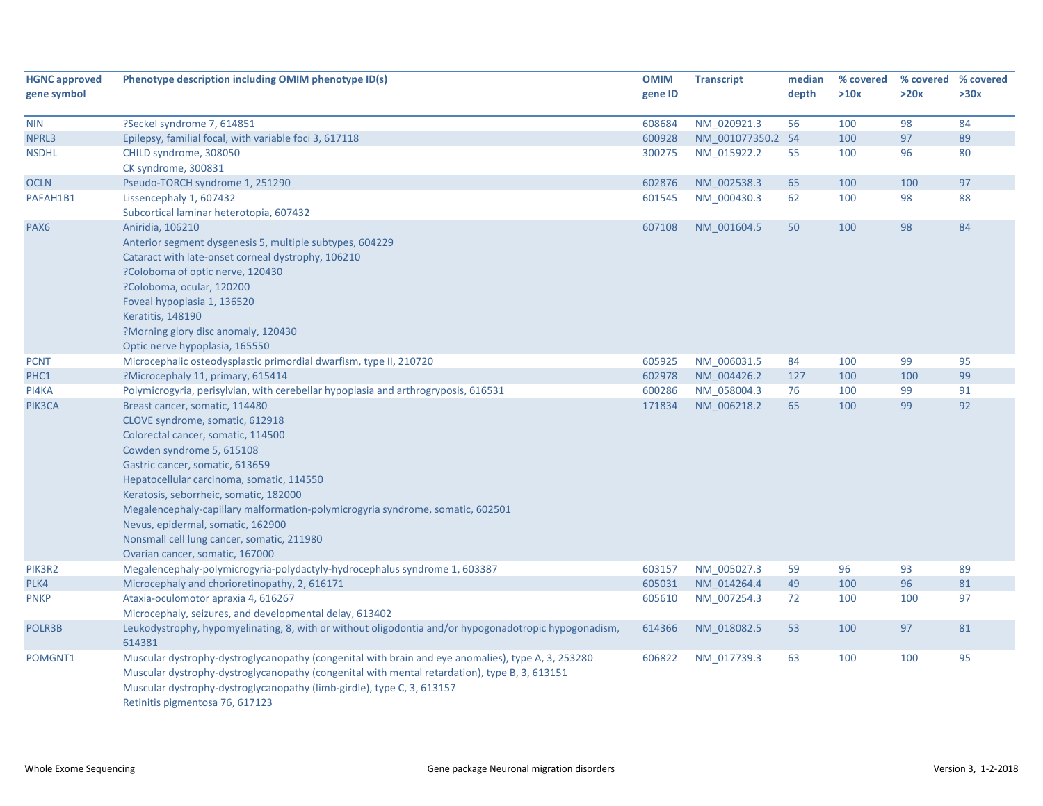| <b>HGNC approved</b><br>gene symbol | Phenotype description including OMIM phenotype ID(s)                                                                                                                                                                                                                                                                                                                                                                                                                   | <b>OMIM</b><br>gene ID | <b>Transcript</b>          | median<br>depth | % covered<br>>10x | >20x     | % covered % covered<br>>30x |
|-------------------------------------|------------------------------------------------------------------------------------------------------------------------------------------------------------------------------------------------------------------------------------------------------------------------------------------------------------------------------------------------------------------------------------------------------------------------------------------------------------------------|------------------------|----------------------------|-----------------|-------------------|----------|-----------------------------|
| <b>NIN</b>                          | ?Seckel syndrome 7, 614851                                                                                                                                                                                                                                                                                                                                                                                                                                             | 608684                 | NM_020921.3                | 56              | 100               | 98       | 84                          |
| NPRL3                               | Epilepsy, familial focal, with variable foci 3, 617118                                                                                                                                                                                                                                                                                                                                                                                                                 | 600928                 | NM 001077350.2 54          |                 | 100               | 97       | 89                          |
| <b>NSDHL</b>                        | CHILD syndrome, 308050<br>CK syndrome, 300831                                                                                                                                                                                                                                                                                                                                                                                                                          | 300275                 | NM_015922.2                | 55              | 100               | 96       | 80                          |
| <b>OCLN</b>                         | Pseudo-TORCH syndrome 1, 251290                                                                                                                                                                                                                                                                                                                                                                                                                                        | 602876                 | NM_002538.3                | 65              | 100               | 100      | 97                          |
| PAFAH1B1                            | Lissencephaly 1, 607432                                                                                                                                                                                                                                                                                                                                                                                                                                                | 601545                 | NM_000430.3                | 62              | 100               | 98       | 88                          |
|                                     | Subcortical laminar heterotopia, 607432                                                                                                                                                                                                                                                                                                                                                                                                                                |                        |                            |                 |                   |          |                             |
| PAX6                                | Aniridia, 106210<br>Anterior segment dysgenesis 5, multiple subtypes, 604229<br>Cataract with late-onset corneal dystrophy, 106210<br>?Coloboma of optic nerve, 120430<br>?Coloboma, ocular, 120200<br>Foveal hypoplasia 1, 136520<br>Keratitis, 148190                                                                                                                                                                                                                | 607108                 | NM 001604.5                | 50              | 100               | 98       | 84                          |
|                                     | ?Morning glory disc anomaly, 120430<br>Optic nerve hypoplasia, 165550                                                                                                                                                                                                                                                                                                                                                                                                  |                        |                            |                 |                   |          |                             |
| <b>PCNT</b>                         | Microcephalic osteodysplastic primordial dwarfism, type II, 210720                                                                                                                                                                                                                                                                                                                                                                                                     | 605925                 | NM 006031.5                | 84              | 100               | 99       | 95                          |
| PHC1                                | ?Microcephaly 11, primary, 615414                                                                                                                                                                                                                                                                                                                                                                                                                                      | 602978                 | NM 004426.2                | 127             | 100               | 100      | 99                          |
| PI4KA                               | Polymicrogyria, perisylvian, with cerebellar hypoplasia and arthrogryposis, 616531                                                                                                                                                                                                                                                                                                                                                                                     | 600286                 | NM_058004.3                | 76              | 100               | 99       | 91                          |
| PIK3CA                              | Breast cancer, somatic, 114480<br>CLOVE syndrome, somatic, 612918<br>Colorectal cancer, somatic, 114500<br>Cowden syndrome 5, 615108<br>Gastric cancer, somatic, 613659<br>Hepatocellular carcinoma, somatic, 114550<br>Keratosis, seborrheic, somatic, 182000<br>Megalencephaly-capillary malformation-polymicrogyria syndrome, somatic, 602501<br>Nevus, epidermal, somatic, 162900<br>Nonsmall cell lung cancer, somatic, 211980<br>Ovarian cancer, somatic, 167000 | 171834                 | NM 006218.2                | 65              | 100               | 99       | 92                          |
| PIK3R2<br>PLK4                      | Megalencephaly-polymicrogyria-polydactyly-hydrocephalus syndrome 1, 603387<br>Microcephaly and chorioretinopathy, 2, 616171                                                                                                                                                                                                                                                                                                                                            | 603157<br>605031       | NM 005027.3<br>NM 014264.4 | 59<br>49        | 96<br>100         | 93<br>96 | 89<br>81                    |
| <b>PNKP</b>                         | Ataxia-oculomotor apraxia 4, 616267<br>Microcephaly, seizures, and developmental delay, 613402                                                                                                                                                                                                                                                                                                                                                                         | 605610                 | NM 007254.3                | 72              | 100               | 100      | 97                          |
| POLR3B                              | Leukodystrophy, hypomyelinating, 8, with or without oligodontia and/or hypogonadotropic hypogonadism,<br>614381                                                                                                                                                                                                                                                                                                                                                        | 614366                 | NM 018082.5                | 53              | 100               | 97       | 81                          |
| POMGNT1                             | Muscular dystrophy-dystroglycanopathy (congenital with brain and eye anomalies), type A, 3, 253280<br>Muscular dystrophy-dystroglycanopathy (congenital with mental retardation), type B, 3, 613151<br>Muscular dystrophy-dystroglycanopathy (limb-girdle), type C, 3, 613157<br>Retinitis pigmentosa 76, 617123                                                                                                                                                       | 606822                 | NM 017739.3                | 63              | 100               | 100      | 95                          |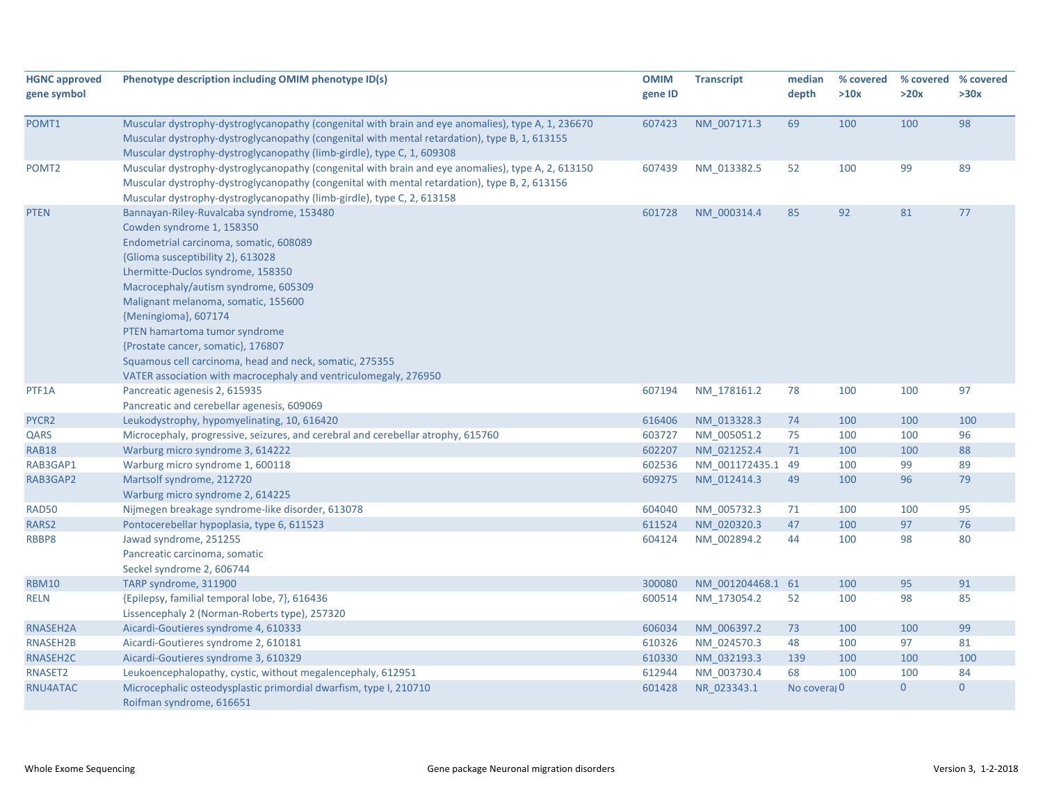| <b>HGNC approved</b><br>gene symbol | Phenotype description including OMIM phenotype ID(s)                                               | <b>OMIM</b><br>gene ID | <b>Transcript</b> | median<br>depth | % covered<br>>10x | % covered % covered<br>>20x | >30x           |
|-------------------------------------|----------------------------------------------------------------------------------------------------|------------------------|-------------------|-----------------|-------------------|-----------------------------|----------------|
| POMT1                               | Muscular dystrophy-dystroglycanopathy (congenital with brain and eye anomalies), type A, 1, 236670 | 607423                 | NM_007171.3       | 69              | 100               | 100                         | 98             |
|                                     | Muscular dystrophy-dystroglycanopathy (congenital with mental retardation), type B, 1, 613155      |                        |                   |                 |                   |                             |                |
|                                     | Muscular dystrophy-dystroglycanopathy (limb-girdle), type C, 1, 609308                             |                        |                   |                 |                   |                             |                |
| POMT <sub>2</sub>                   | Muscular dystrophy-dystroglycanopathy (congenital with brain and eye anomalies), type A, 2, 613150 | 607439                 | NM_013382.5       | 52              | 100               | 99                          | 89             |
|                                     | Muscular dystrophy-dystroglycanopathy (congenital with mental retardation), type B, 2, 613156      |                        |                   |                 |                   |                             |                |
|                                     | Muscular dystrophy-dystroglycanopathy (limb-girdle), type C, 2, 613158                             |                        |                   |                 |                   |                             |                |
| <b>PTEN</b>                         | Bannayan-Riley-Ruvalcaba syndrome, 153480                                                          | 601728                 | NM 000314.4       | 85              | 92                | 81                          | 77             |
|                                     | Cowden syndrome 1, 158350                                                                          |                        |                   |                 |                   |                             |                |
|                                     | Endometrial carcinoma, somatic, 608089                                                             |                        |                   |                 |                   |                             |                |
|                                     | {Glioma susceptibility 2}, 613028                                                                  |                        |                   |                 |                   |                             |                |
|                                     | Lhermitte-Duclos syndrome, 158350                                                                  |                        |                   |                 |                   |                             |                |
|                                     | Macrocephaly/autism syndrome, 605309                                                               |                        |                   |                 |                   |                             |                |
|                                     | Malignant melanoma, somatic, 155600                                                                |                        |                   |                 |                   |                             |                |
|                                     | {Meningioma}, 607174                                                                               |                        |                   |                 |                   |                             |                |
|                                     | PTEN hamartoma tumor syndrome                                                                      |                        |                   |                 |                   |                             |                |
|                                     | {Prostate cancer, somatic}, 176807                                                                 |                        |                   |                 |                   |                             |                |
|                                     | Squamous cell carcinoma, head and neck, somatic, 275355                                            |                        |                   |                 |                   |                             |                |
|                                     | VATER association with macrocephaly and ventriculomegaly, 276950                                   |                        |                   |                 |                   |                             | 97             |
| PTF1A                               | Pancreatic agenesis 2, 615935                                                                      | 607194                 | NM_178161.2       | 78              | 100               | 100                         |                |
|                                     | Pancreatic and cerebellar agenesis, 609069<br>Leukodystrophy, hypomyelinating, 10, 616420          | 616406                 | NM 013328.3       | 74              | 100               | 100                         | 100            |
| PYCR <sub>2</sub><br>QARS           | Microcephaly, progressive, seizures, and cerebral and cerebellar atrophy, 615760                   | 603727                 | NM_005051.2       | 75              | 100               | 100                         | 96             |
| <b>RAB18</b>                        | Warburg micro syndrome 3, 614222                                                                   | 602207                 | NM 021252.4       | 71              | 100               | 100                         | 88             |
| RAB3GAP1                            | Warburg micro syndrome 1, 600118                                                                   | 602536                 | NM 001172435.1 49 |                 | 100               | 99                          | 89             |
| RAB3GAP2                            | Martsolf syndrome, 212720                                                                          | 609275                 | NM 012414.3       | 49              | 100               | 96                          | 79             |
|                                     | Warburg micro syndrome 2, 614225                                                                   |                        |                   |                 |                   |                             |                |
| <b>RAD50</b>                        | Nijmegen breakage syndrome-like disorder, 613078                                                   | 604040                 | NM_005732.3       | 71              | 100               | 100                         | 95             |
| RARS2                               | Pontocerebellar hypoplasia, type 6, 611523                                                         | 611524                 | NM 020320.3       | 47              | 100               | 97                          | 76             |
| RBBP8                               | Jawad syndrome, 251255                                                                             | 604124                 | NM_002894.2       | 44              | 100               | 98                          | 80             |
|                                     | Pancreatic carcinoma, somatic                                                                      |                        |                   |                 |                   |                             |                |
|                                     | Seckel syndrome 2, 606744                                                                          |                        |                   |                 |                   |                             |                |
| <b>RBM10</b>                        | TARP syndrome, 311900                                                                              | 300080                 | NM 001204468.1 61 |                 | 100               | 95                          | 91             |
| <b>RELN</b>                         | {Epilepsy, familial temporal lobe, 7}, 616436                                                      | 600514                 | NM 173054.2       | 52              | 100               | 98                          | 85             |
|                                     | Lissencephaly 2 (Norman-Roberts type), 257320                                                      |                        |                   |                 |                   |                             |                |
| RNASEH2A                            | Aicardi-Goutieres syndrome 4, 610333                                                               | 606034                 | NM 006397.2       | 73              | 100               | 100                         | 99             |
| RNASEH2B                            | Aicardi-Goutieres syndrome 2, 610181                                                               | 610326                 | NM_024570.3       | 48              | 100               | 97                          | 81             |
| RNASEH2C                            | Aicardi-Goutieres syndrome 3, 610329                                                               | 610330                 | NM 032193.3       | 139             | 100               | 100                         | 100            |
| RNASET2                             | Leukoencephalopathy, cystic, without megalencephaly, 612951                                        | 612944                 | NM 003730.4       | 68              | 100               | 100                         | 84             |
| RNU4ATAC                            | Microcephalic osteodysplastic primordial dwarfism, type I, 210710                                  | 601428                 | NR 023343.1       | No covera; 0    |                   | $\overline{0}$              | $\overline{0}$ |
|                                     | Roifman syndrome, 616651                                                                           |                        |                   |                 |                   |                             |                |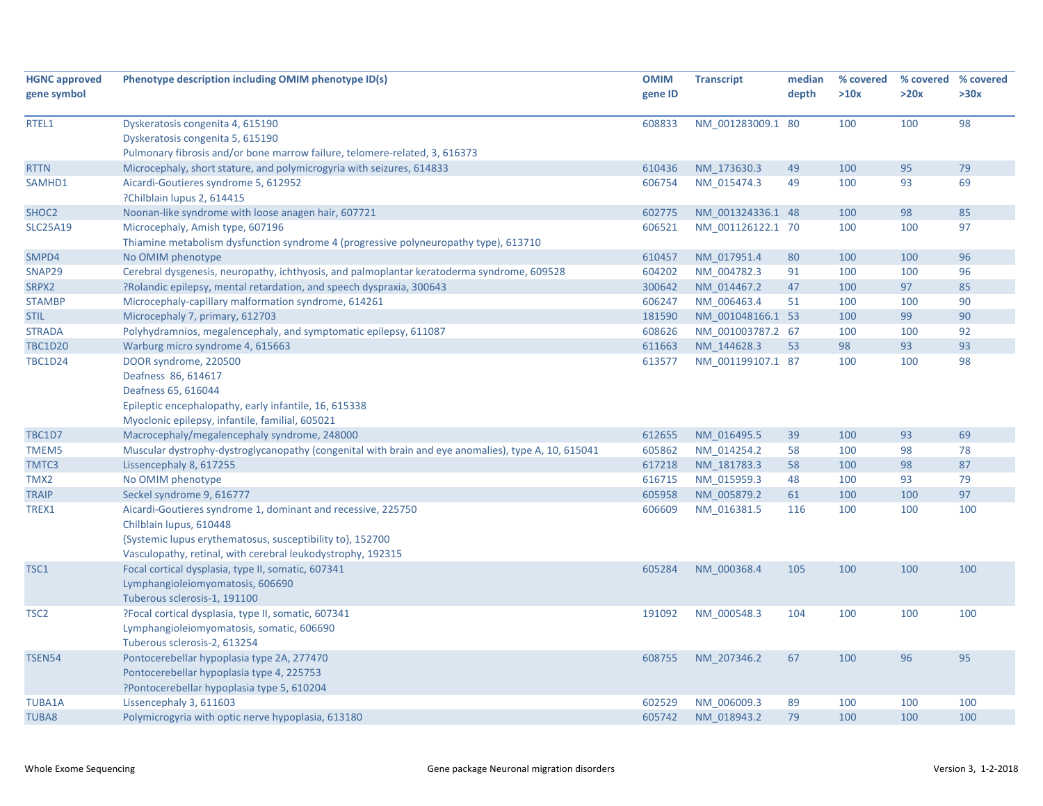| <b>HGNC approved</b> | Phenotype description including OMIM phenotype ID(s)                                                | <b>OMIM</b> | <b>Transcript</b> | median | % covered | % covered % covered |      |
|----------------------|-----------------------------------------------------------------------------------------------------|-------------|-------------------|--------|-----------|---------------------|------|
| gene symbol          |                                                                                                     | gene ID     |                   | depth  | >10x      | >20x                | >30x |
|                      |                                                                                                     |             |                   |        |           |                     |      |
| RTEL1                | Dyskeratosis congenita 4, 615190                                                                    | 608833      | NM 001283009.1 80 |        | 100       | 100                 | 98   |
|                      | Dyskeratosis congenita 5, 615190                                                                    |             |                   |        |           |                     |      |
|                      | Pulmonary fibrosis and/or bone marrow failure, telomere-related, 3, 616373                          |             |                   |        |           |                     |      |
| <b>RTTN</b>          | Microcephaly, short stature, and polymicrogyria with seizures, 614833                               | 610436      | NM 173630.3       | 49     | 100       | 95                  | 79   |
| SAMHD1               | Aicardi-Goutieres syndrome 5, 612952                                                                | 606754      | NM 015474.3       | 49     | 100       | 93                  | 69   |
|                      | ?Chilblain lupus 2, 614415                                                                          |             |                   |        |           |                     |      |
| SHOC <sub>2</sub>    | Noonan-like syndrome with loose anagen hair, 607721                                                 | 602775      | NM 001324336.1 48 |        | 100       | 98                  | 85   |
| <b>SLC25A19</b>      | Microcephaly, Amish type, 607196                                                                    | 606521      | NM 001126122.1 70 |        | 100       | 100                 | 97   |
|                      | Thiamine metabolism dysfunction syndrome 4 (progressive polyneuropathy type), 613710                |             |                   |        |           |                     |      |
| SMPD4                | No OMIM phenotype                                                                                   | 610457      | NM 017951.4       | 80     | 100       | 100                 | 96   |
| SNAP29               | Cerebral dysgenesis, neuropathy, ichthyosis, and palmoplantar keratoderma syndrome, 609528          | 604202      | NM_004782.3       | 91     | 100       | 100                 | 96   |
| SRPX2                | ?Rolandic epilepsy, mental retardation, and speech dyspraxia, 300643                                | 300642      | NM_014467.2       | 47     | 100       | 97                  | 85   |
| <b>STAMBP</b>        | Microcephaly-capillary malformation syndrome, 614261                                                | 606247      | NM_006463.4       | 51     | 100       | 100                 | 90   |
| <b>STIL</b>          | Microcephaly 7, primary, 612703                                                                     | 181590      | NM 001048166.1 53 |        | 100       | 99                  | 90   |
| <b>STRADA</b>        | Polyhydramnios, megalencephaly, and symptomatic epilepsy, 611087                                    | 608626      | NM 001003787.2 67 |        | 100       | 100                 | 92   |
| <b>TBC1D20</b>       | Warburg micro syndrome 4, 615663                                                                    | 611663      | NM_144628.3       | 53     | 98        | 93                  | 93   |
| <b>TBC1D24</b>       | DOOR syndrome, 220500                                                                               | 613577      | NM_001199107.1 87 |        | 100       | 100                 | 98   |
|                      | Deafness 86, 614617                                                                                 |             |                   |        |           |                     |      |
|                      | Deafness 65, 616044                                                                                 |             |                   |        |           |                     |      |
|                      | Epileptic encephalopathy, early infantile, 16, 615338                                               |             |                   |        |           |                     |      |
|                      | Myoclonic epilepsy, infantile, familial, 605021                                                     |             |                   |        |           |                     |      |
| <b>TBC1D7</b>        | Macrocephaly/megalencephaly syndrome, 248000                                                        | 612655      | NM 016495.5       | 39     | 100       | 93                  | 69   |
| TMEM5                | Muscular dystrophy-dystroglycanopathy (congenital with brain and eye anomalies), type A, 10, 615041 | 605862      | NM 014254.2       | 58     | 100       | 98                  | 78   |
| TMTC3                | Lissencephaly 8, 617255                                                                             | 617218      | NM 181783.3       | 58     | 100       | 98                  | 87   |
| TMX2                 | No OMIM phenotype                                                                                   | 616715      | NM_015959.3       | 48     | 100       | 93                  | 79   |
| <b>TRAIP</b>         | Seckel syndrome 9, 616777                                                                           | 605958      | NM_005879.2       | 61     | 100       | 100                 | 97   |
| TREX1                | Aicardi-Goutieres syndrome 1, dominant and recessive, 225750                                        | 606609      | NM 016381.5       | 116    | 100       | 100                 | 100  |
|                      | Chilblain lupus, 610448                                                                             |             |                   |        |           |                     |      |
|                      | {Systemic lupus erythematosus, susceptibility to}, 152700                                           |             |                   |        |           |                     |      |
|                      | Vasculopathy, retinal, with cerebral leukodystrophy, 192315                                         |             |                   |        |           |                     |      |
| TSC1                 | Focal cortical dysplasia, type II, somatic, 607341                                                  | 605284      | NM 000368.4       | 105    | 100       | 100                 | 100  |
|                      | Lymphangioleiomyomatosis, 606690                                                                    |             |                   |        |           |                     |      |
|                      | Tuberous sclerosis-1, 191100                                                                        |             |                   |        |           |                     |      |
| TSC <sub>2</sub>     | ?Focal cortical dysplasia, type II, somatic, 607341                                                 | 191092      | NM 000548.3       | 104    | 100       | 100                 | 100  |
|                      | Lymphangioleiomyomatosis, somatic, 606690                                                           |             |                   |        |           |                     |      |
|                      | Tuberous sclerosis-2, 613254                                                                        |             |                   |        |           |                     |      |
| TSEN54               | Pontocerebellar hypoplasia type 2A, 277470                                                          | 608755      | NM 207346.2       | 67     | 100       | 96                  | 95   |
|                      | Pontocerebellar hypoplasia type 4, 225753                                                           |             |                   |        |           |                     |      |
|                      | ?Pontocerebellar hypoplasia type 5, 610204                                                          |             |                   |        |           |                     |      |
| <b>TUBA1A</b>        | Lissencephaly 3, 611603                                                                             | 602529      | NM 006009.3       | 89     | 100       | 100                 | 100  |
| TUBA8                | Polymicrogyria with optic nerve hypoplasia, 613180                                                  | 605742      | NM 018943.2       | 79     | 100       | 100                 | 100  |